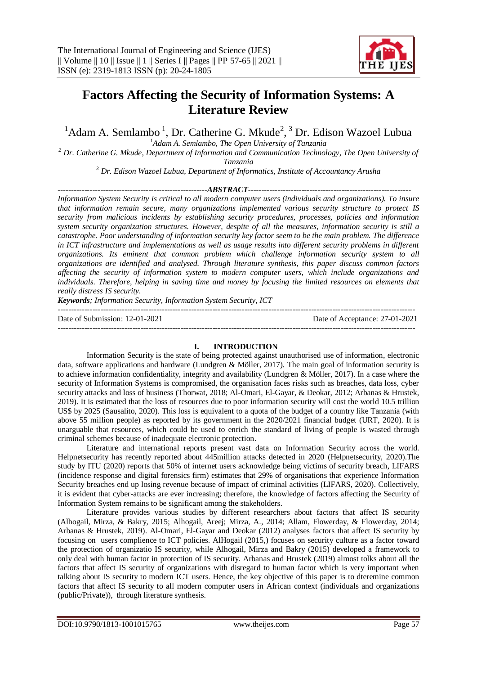

# **Factors Affecting the Security of Information Systems: A Literature Review**

 $1$ Adam A. Semlambo  $1$ , Dr. Catherine G. Mkude<sup>2</sup>,  $3$  Dr. Edison Wazoel Lubua

*<sup>1</sup>Adam A. Semlambo, The Open University of Tanzania*

*<sup>2</sup> Dr. Catherine G. Mkude, Department of Information and Communication Technology, The Open University of Tanzania*

*<sup>3</sup> Dr. Edison Wazoel Lubua, Department of Informatics, Institute of Accountancy Arusha*

*--------------------------------------------------------ABSTRACT-------------------------------------------------------------*

*Information System Security is critical to all modern computer users (individuals and organizations). To insure that information remain secure, many organizations implemented various security structure to protect IS security from malicious incidents by establishing security procedures, processes, policies and information system security organization structures. However, despite of all the measures, information security is still a catastrophe. Poor understanding of information security key factor seem to be the main problem. The difference*  in ICT infrastructure and implementations as well as usage results into different security problems in different *organizations. Its eminent that common problem which challenge information security system to all organizations are identified and analysed. Through literature synthesis, this paper discuss common factors affecting the security of information system to modern computer users, which include organizations and individuals. Therefore, helping in saving time and money by focusing the limited resources on elements that really distress IS security.* 

*Keywords; Information Security, Information System Security, ICT*

 $-1.1$ Date of Submission: 12-01-2021 Date of Acceptance: 27-01-2021 --------------------------------------------------------------------------------------------------------------------------------------

## **I. INTRODUCTION**

Information Security is the state of being protected against unauthorised use of information, electronic data, software applications and hardware (Lundgren & Möller, 2017). The main goal of information security is to achieve information confidentiality, integrity and availability (Lundgren & Möller, 2017). In a case where the security of Information Systems is compromised, the organisation faces risks such as breaches, data loss, cyber security attacks and loss of business (Thorwat, 2018; Al-Omari, El-Gayar, & Deokar, 2012; Arbanas & Hrustek, 2019). It is estimated that the loss of resources due to poor information security will cost the world 10.5 trillion US\$ by 2025 (Sausalito, 2020). This loss is equivalent to a quota of the budget of a country like Tanzania (with above 55 million people) as reported by its government in the 2020/2021 financial budget (URT, 2020). It is unarguable that resources, which could be used to enrich the standard of living of people is wasted through criminal schemes because of inadequate electronic protection.

Literature and international reports present vast data on Information Security across the world. Helpnetsecurity has recently reported about 445million attacks detected in 2020 (Helpnetsecurity, 2020).The study by ITU (2020) reports that 50% of internet users acknowledge being victims of security breach, LIFARS (incidence response and digital forensics firm) estimates that 29% of organisations that experience Information Security breaches end up losing revenue because of impact of criminal activities (LIFARS, 2020). Collectively, it is evident that cyber-attacks are ever increasing; therefore, the knowledge of factors affecting the Security of Information System remains to be significant among the stakeholders.

Literature provides various studies by different researchers about factors that affect IS security (Alhogail, Mirza, & Bakry, 2015; Alhogail, Areej; Mirza, A., 2014; Allam, Flowerday, & Flowerday, 2014; Arbanas & Hrustek, 2019). Al-Omari, El-Gayar and Deokar (2012) analyses factors that affect IS security by focusing on users complience to ICT policies. AlHogail (2015,) focuses on security culture as a factor toward the protection of organizatio IS security, while Alhogail, Mirza and Bakry (2015) developed a framework to only deal with human factor in protection of IS security. Arbanas and Hrustek (2019) almost tolks about all the factors that affect IS security of organizations with disregard to human factor which is very important when talking about IS security to modern ICT users. Hence, the key objective of this paper is to dteremine common factors that affect IS security to all modern computer users in African context (individuals and organizations (public/Private)), through literature synthesis.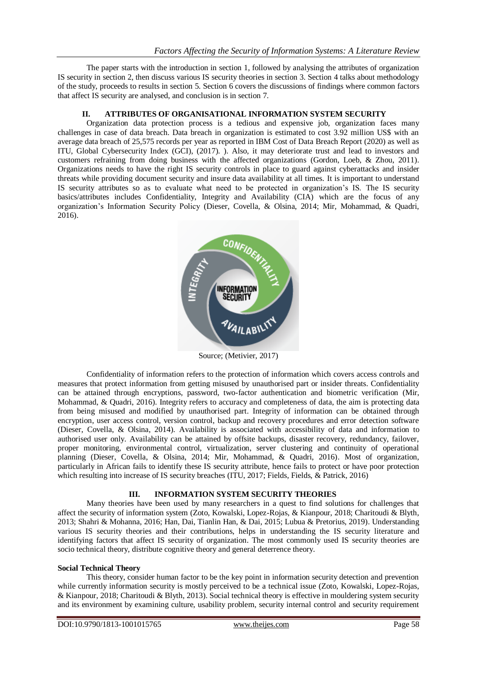The paper starts with the introduction in section 1, followed by analysing the attributes of organization IS security in section 2, then discuss various IS security theories in section 3. Section 4 talks about methodology of the study, proceeds to results in section 5. Section 6 covers the discussions of findings where common factors that affect IS security are analysed, and conclusion is in section 7.

## **II. ATTRIBUTES OF ORGANISATIONAL INFORMATION SYSTEM SECURITY**

Organization data protection process is a tedious and expensive job, organization faces many challenges in case of data breach. Data breach in organization is estimated to cost 3.92 million US\$ with an average data breach of 25,575 records per year as reported in IBM Cost of Data Breach Report (2020) as well as ITU, Global Cybersecurity Index (GCI), (2017). ). Also, it may deteriorate trust and lead to investors and customers refraining from doing business with the affected organizations (Gordon, Loeb, & Zhou, 2011). Organizations needs to have the right IS security controls in place to guard against cyberattacks and insider threats while providing document security and insure data availability at all times. It is important to understand IS security attributes so as to evaluate what need to be protected in organization's IS. The IS security basics/attributes includes Confidentiality, Integrity and Availability (CIA) which are the focus of any organization's Information Security Policy (Dieser, Covella, & Olsina, 2014; Mir, Mohammad, & Quadri, 2016).



Source; (Metivier, 2017)

Confidentiality of information refers to the protection of information which covers access controls and measures that protect information from getting misused by unauthorised part or insider threats. Confidentiality can be attained through encryptions, password, two-factor authentication and biometric verification (Mir, Mohammad, & Quadri, 2016). Integrity refers to accuracy and completeness of data, the aim is protecting data from being misused and modified by unauthorised part. Integrity of information can be obtained through encryption, user access control, version control, backup and recovery procedures and error detection software (Dieser, Covella, & Olsina, 2014). Availability is associated with accessibility of data and information to authorised user only. Availability can be attained by offsite backups, disaster recovery, redundancy, failover, proper monitoring, environmental control, virtualization, server clustering and continuity of operational planning (Dieser, Covella, & Olsina, 2014; Mir, Mohammad, & Quadri, 2016). Most of organization, particularly in African fails to identify these IS security attribute, hence fails to protect or have poor protection which resulting into increase of IS security breaches (ITU, 2017; Fields, Fields, & Patrick, 2016)

## **III. INFORMATION SYSTEM SECURITY THEORIES**

Many theories have been used by many researchers in a quest to find solutions for challenges that affect the security of information system (Zoto, Kowalski, Lopez-Rojas, & Kianpour, 2018; Charitoudi & Blyth, 2013; Shahri & Mohanna, 2016; Han, Dai, Tianlin Han, & Dai, 2015; Lubua & Pretorius, 2019). Understanding various IS security theories and their contributions, helps in understanding the IS security literature and identifying factors that affect IS security of organization. The most commonly used IS security theories are socio technical theory, distribute cognitive theory and general deterrence theory.

## **Social Technical Theory**

This theory, consider human factor to be the key point in information security detection and prevention while currently information security is mostly perceived to be a technical issue (Zoto, Kowalski, Lopez-Rojas, & Kianpour, 2018; Charitoudi & Blyth, 2013). Social technical theory is effective in mouldering system security and its environment by examining culture, usability problem, security internal control and security requirement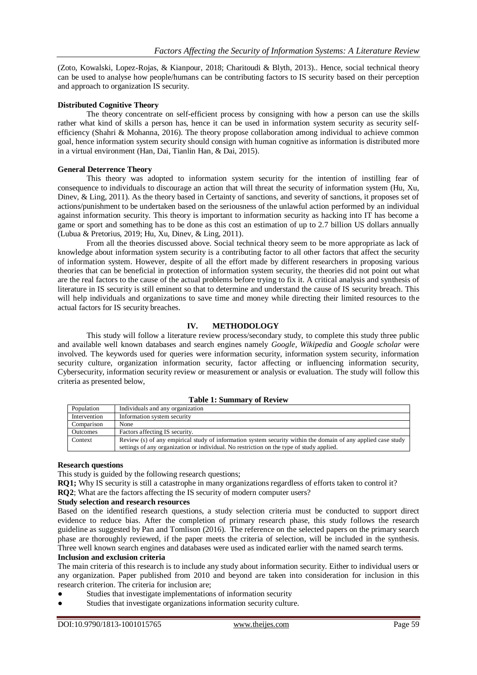(Zoto, Kowalski, Lopez-Rojas, & Kianpour, 2018; Charitoudi & Blyth, 2013).. Hence, social technical theory can be used to analyse how people/humans can be contributing factors to IS security based on their perception and approach to organization IS security.

### **Distributed Cognitive Theory**

The theory concentrate on self-efficient process by consigning with how a person can use the skills rather what kind of skills a person has, hence it can be used in information system security as security selfefficiency (Shahri & Mohanna, 2016). The theory propose collaboration among individual to achieve common goal, hence information system security should consign with human cognitive as information is distributed more in a virtual environment (Han, Dai, Tianlin Han, & Dai, 2015).

#### **General Deterrence Theory**

This theory was adopted to information system security for the intention of instilling fear of consequence to individuals to discourage an action that will threat the security of information system (Hu, Xu, Dinev, & Ling, 2011). As the theory based in Certainty of sanctions, and severity of sanctions, it proposes set of actions/punishment to be undertaken based on the seriousness of the unlawful action performed by an individual against information security. This theory is important to information security as hacking into IT has become a game or sport and something has to be done as this cost an estimation of up to 2.7 billion US dollars annually (Lubua & Pretorius, 2019; Hu, Xu, Dinev, & Ling, 2011).

From all the theories discussed above. Social technical theory seem to be more appropriate as lack of knowledge about information system security is a contributing factor to all other factors that affect the security of information system. However, despite of all the effort made by different researchers in proposing various theories that can be beneficial in protection of information system security, the theories did not point out what are the real factors to the cause of the actual problems before trying to fix it. A critical analysis and synthesis of literature in IS security is still eminent so that to determine and understand the cause of IS security breach. This will help individuals and organizations to save time and money while directing their limited resources to the actual factors for IS security breaches.

## **IV. METHODOLOGY**

This study will follow a literature review process/secondary study, to complete this study three public and available well known databases and search engines namely *Google, Wikipedia* and *Google scholar* were involved*.* The keywords used for queries were information security, information system security, information security culture, organization information security, factor affecting or influencing information security, Cybersecurity, information security review or measurement or analysis or evaluation. The study will follow this criteria as presented below,

|  |  | <b>Table 1: Summary of Review</b> |  |  |
|--|--|-----------------------------------|--|--|
|--|--|-----------------------------------|--|--|

| Population      | Individuals and any organization                                                                                                                                                                         |
|-----------------|----------------------------------------------------------------------------------------------------------------------------------------------------------------------------------------------------------|
| Intervention    | Information system security                                                                                                                                                                              |
| Comparison      | None                                                                                                                                                                                                     |
| <b>Outcomes</b> | Factors affecting IS security.                                                                                                                                                                           |
| Context         | Review (s) of any empirical study of information system security within the domain of any applied case study<br>settings of any organization or individual. No restriction on the type of study applied. |

#### **Research questions**

This study is guided by the following research questions;

**RQ1;** Why IS security is still a catastrophe in many organizations regardless of efforts taken to control it? **RQ2**; What are the factors affecting the IS security of modern computer users?

## **Study selection and research resources**

Based on the identified research questions, a study selection criteria must be conducted to support direct evidence to reduce bias. After the completion of primary research phase, this study follows the research guideline as suggested by Pan and Tomlison (2016). The reference on the selected papers on the primary search phase are thoroughly reviewed, if the paper meets the criteria of selection, will be included in the synthesis. Three well known search engines and databases were used as indicated earlier with the named search terms.

#### **Inclusion and exclusion criteria**

The main criteria of this research is to include any study about information security. Either to individual users or any organization. Paper published from 2010 and beyond are taken into consideration for inclusion in this research criterion. The criteria for inclusion are;

- Studies that investigate implementations of information security
- Studies that investigate organizations information security culture.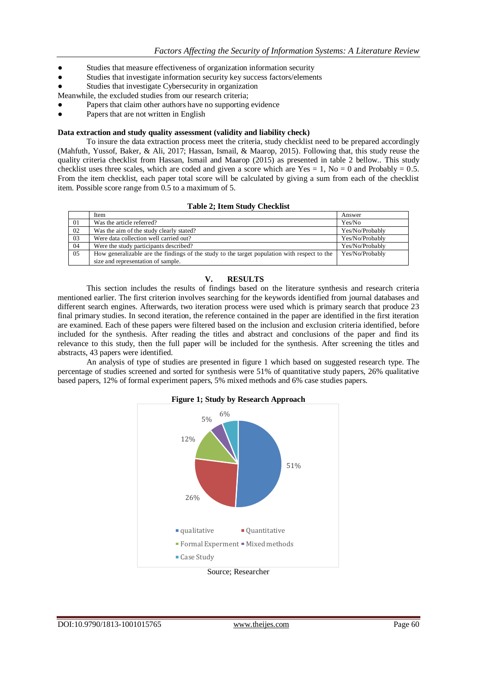- Studies that measure effectiveness of organization information security
- Studies that investigate information security key success factors/elements
- Studies that investigate Cybersecurity in organization
- Meanwhile, the excluded studies from our research criteria;
- Papers that claim other authors have no supporting evidence
- Papers that are not written in English

#### **Data extraction and study quality assessment (validity and liability check)**

To insure the data extraction process meet the criteria, study checklist need to be prepared accordingly (Mahfuth, Yussof, Baker, & Ali, 2017; Hassan, Ismail, & Maarop, 2015). Following that, this study reuse the quality criteria checklist from Hassan, Ismail and Maarop (2015) as presented in table 2 bellow.. This study checklist uses three scales, which are coded and given a score which are Yes = 1, No = 0 and Probably =  $0.5$ . From the item checklist, each paper total score will be calculated by giving a sum from each of the checklist item. Possible score range from 0.5 to a maximum of 5.

|  |  |  | <b>Table 2; Item Study Checklist</b> |
|--|--|--|--------------------------------------|
|--|--|--|--------------------------------------|

|     | Item                                                                                         | Answer          |
|-----|----------------------------------------------------------------------------------------------|-----------------|
| 01  | Was the article referred?                                                                    | Yes/No          |
| 02  | Was the aim of the study clearly stated?                                                     | Yes/No/Probably |
| -03 | Were data collection well carried out?                                                       | Yes/No/Probably |
| 04  | Were the study participants described?                                                       | Yes/No/Probably |
| 05  | How generalizable are the findings of the study to the target population with respect to the | Yes/No/Probably |
|     | size and representation of sample.                                                           |                 |
|     |                                                                                              |                 |

## **V. RESULTS**

This section includes the results of findings based on the literature synthesis and research criteria mentioned earlier. The first criterion involves searching for the keywords identified from journal databases and different search engines. Afterwards, two iteration process were used which is primary search that produce 23 final primary studies. In second iteration, the reference contained in the paper are identified in the first iteration are examined. Each of these papers were filtered based on the inclusion and exclusion criteria identified, before included for the synthesis. After reading the titles and abstract and conclusions of the paper and find its relevance to this study, then the full paper will be included for the synthesis. After screening the titles and abstracts, 43 papers were identified.

An analysis of type of studies are presented in figure 1 which based on suggested research type. The percentage of studies screened and sorted for synthesis were 51% of quantitative study papers, 26% qualitative based papers, 12% of formal experiment papers, 5% mixed methods and 6% case studies papers.



Source; Researcher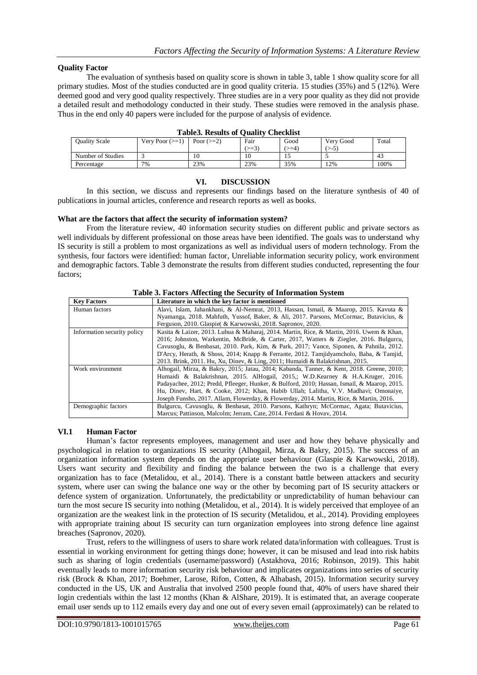## **Quality Factor**

The evaluation of synthesis based on quality score is shown in table 3, table 1 show quality score for all primary studies. Most of the studies conducted are in good quality criteria. 15 studies (35%) and 5 (12%). Were deemed good and very good quality respectively. Three studies are in a very poor quality as they did not provide a detailed result and methodology conducted in their study. These studies were removed in the analysis phase. Thus in the end only 40 papers were included for the purpose of analysis of evidence.

| -------<br>------------ |                      |                 |       |          |           |       |
|-------------------------|----------------------|-----------------|-------|----------|-----------|-------|
| Ouality Scale           | Very Poor $(\geq 1)$ | Poor $(\geq=2)$ | Fair  | Good     | Very Good | Total |
|                         |                      |                 | $>=3$ | $\geq 4$ | $> -5$    |       |
| Number of Studies       |                      | 10              | 10    | ن 1      |           | 43    |
| Percentage              | 7%                   | 23%             | 23%   | 35%      | 12%       | 100%  |

#### **VI. DISCUSSION**

In this section, we discuss and represents our findings based on the literature synthesis of 40 of publications in journal articles, conference and research reports as well as books.

#### **What are the factors that affect the security of information system?**

From the literature review, 40 information security studies on different public and private sectors as well individuals by different professional on those areas have been identified. The goals was to understand why IS security is still a problem to most organizations as well as individual users of modern technology. From the synthesis, four factors were identified: human factor, Unreliable information security policy, work environment and demographic factors. Table 3 demonstrate the results from different studies conducted, representing the four factors;

| <b>Key Factors</b>          | Literature in which the key factor is mentioned                                             |  |  |
|-----------------------------|---------------------------------------------------------------------------------------------|--|--|
| Human factors               | Alavi, Islam, Jahankhani, & Al-Nemrat, 2013, Hassan, Ismail, & Maarop, 2015. Kavuta &       |  |  |
|                             | Nyamanga, 2018. Mahfuth, Yussof, Baker, & Ali, 2017. Parsons, McCormac, Butavicius, &       |  |  |
|                             | Ferguson, 2010. Glaspie & Karwowski, 2018. Sapronov, 2020.                                  |  |  |
| Information security policy | Kasita & Laizer, 2013. Lubua & Maharaj, 2014. Martin, Rice, & Martin, 2016. Uwem & Khan,    |  |  |
|                             | 2016; Johnston, Warkentin, McBride, & Carter, 2017, Watters & Ziegler, 2016. Bulgurcu,      |  |  |
|                             | Cavusoglu, & Benbasat, 2010. Park, Kim, & Park, 2017; Vance, Siponen, & Pahnila, 2012.      |  |  |
|                             | D'Arcy, Herath, & Shoss, 2014; Knapp & Ferrante, 2012. Tamjidyamcholo, Baba, & Tamjid,      |  |  |
|                             | 2013. Brink, 2011. Hu, Xu, Dinev, & Ling, 2011; Humaidi & Balakrishnan, 2015.               |  |  |
| Work environment            | Alhogail, Mirza, & Bakry, 2015; Jatau, 2014; Kabanda, Tanner, & Kent, 2018. Greene, 2010;   |  |  |
|                             | Humaidi & Balakrishnan, 2015. AlHogail, 2015.; W.D.Kearney & H.A.Kruger, 2016.              |  |  |
|                             | Padayachee, 2012; Predd, Pfleeger, Hunker, & Bulford, 2010; Hassan, Ismail, & Maarop, 2015. |  |  |
|                             | Hu, Dinev, Hart, & Cooke, 2012; Khan, Habib Ullah; Lalitha, V.V. Madhavi; Omonaiye,         |  |  |
|                             | Joseph Funsho, 2017. Allam, Flowerday, & Flowerday, 2014. Martin, Rice, & Martin, 2016.     |  |  |
| Demographic factors         | Bulgurcu, Cavusoglu, & Benbasat, 2010. Parsons, Kathryn; McCormac, Agata; Butavicius,       |  |  |
|                             | Marcus; Pattinson, Malcolm; Jerram, Cate, 2014. Ferdani & Hovay, 2014.                      |  |  |

**Table 3. Factors Affecting the Security of Information System**

#### **VI.1 Human Factor**

Human's factor represents employees, management and user and how they behave physically and psychological in relation to organizations IS security (Alhogail, Mirza, & Bakry, 2015). The success of an organization information system depends on the appropriate user behaviour (Glaspie & Karwowski, 2018). Users want security and flexibility and finding the balance between the two is a challenge that every organization has to face (Metalidou, et al., 2014). There is a constant battle between attackers and security system, where user can swing the balance one way or the other by becoming part of IS security attackers or defence system of organization. Unfortunately, the predictability or unpredictability of human behaviour can turn the most secure IS security into nothing (Metalidou, et al., 2014). It is widely perceived that employee of an organization are the weakest link in the protection of IS security (Metalidou, et al., 2014). Providing employees with appropriate training about IS security can turn organization employees into strong defence line against breaches (Sapronov, 2020).

Trust, refers to the willingness of users to share work related data/information with colleagues. Trust is essential in working environment for getting things done; however, it can be misused and lead into risk habits such as sharing of login credentials (username/password) (Astakhova, 2016; Robinson, 2019). This habit eventually leads to more information security risk behaviour and implicates organizations into series of security risk (Brock & Khan, 2017; Boehmer, Larose, Rifon, Cotten, & Alhabash, 2015). Information security survey conducted in the US, UK and Australia that involved 2500 people found that, 40% of users have shared their login credentials within the last 12 months (Khan & AlShare, 2019). It is estimated that, an average cooperate email user sends up to 112 emails every day and one out of every seven email (approximately) can be related to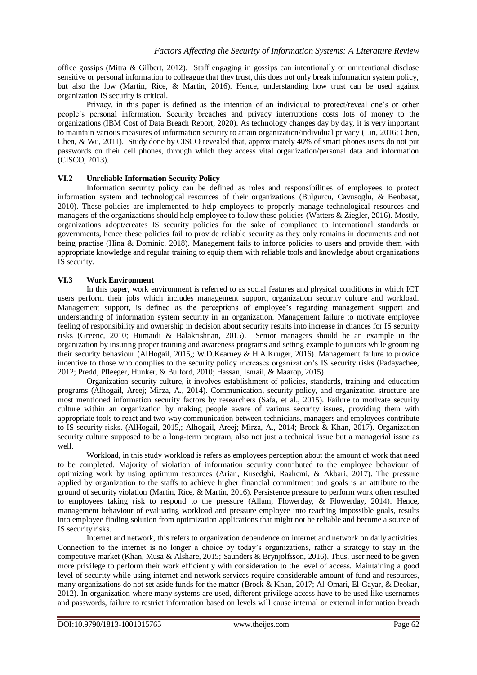office gossips (Mitra & Gilbert, 2012). Staff engaging in gossips can intentionally or unintentional disclose sensitive or personal information to colleague that they trust, this does not only break information system policy, but also the low (Martin, Rice, & Martin, 2016). Hence, understanding how trust can be used against organization IS security is critical.

Privacy, in this paper is defined as the intention of an individual to protect/reveal one's or other people's personal information. Security breaches and privacy interruptions costs lots of money to the organizations (IBM Cost of Data Breach Report, 2020). As technology changes day by day, it is very important to maintain various measures of information security to attain organization/individual privacy (Lin, 2016; Chen, Chen, & Wu, 2011). Study done by CISCO revealed that, approximately 40% of smart phones users do not put passwords on their cell phones, through which they access vital organization/personal data and information (CISCO, 2013).

## **VI.2 Unreliable Information Security Policy**

Information security policy can be defined as roles and responsibilities of employees to protect information system and technological resources of their organizations (Bulgurcu, Cavusoglu, & Benbasat, 2010). These policies are implemented to help employees to properly manage technological resources and managers of the organizations should help employee to follow these policies (Watters & Ziegler, 2016). Mostly, organizations adopt/creates IS security policies for the sake of compliance to international standards or governments, hence these policies fail to provide reliable security as they only remains in documents and not being practise (Hina & Dominic, 2018). Management fails to inforce policies to users and provide them with appropriate knowledge and regular training to equip them with reliable tools and knowledge about organizations IS security.

## **VI.3 Work Environment**

In this paper, work environment is referred to as social features and physical conditions in which ICT users perform their jobs which includes management support, organization security culture and workload. Management support, is defined as the perceptions of employee's regarding management support and understanding of information system security in an organization. Management failure to motivate employee feeling of responsibility and ownership in decision about security results into increase in chances for IS security risks (Greene, 2010; Humaidi & Balakrishnan, 2015). Senior managers should be an example in the organization by insuring proper training and awareness programs and setting example to juniors while grooming their security behaviour (AlHogail, 2015,; W.D.Kearney & H.A.Kruger, 2016). Management failure to provide incentive to those who complies to the security policy increases organization's IS security risks (Padayachee, 2012; Predd, Pfleeger, Hunker, & Bulford, 2010; Hassan, Ismail, & Maarop, 2015).

Organization security culture, it involves establishment of policies, standards, training and education programs (Alhogail, Areej; Mirza, A., 2014). Communication, security policy, and organization structure are most mentioned information security factors by researchers (Safa, et al., 2015). Failure to motivate security culture within an organization by making people aware of various security issues, providing them with appropriate tools to react and two-way communication between technicians, managers and employees contribute to IS security risks. (AlHogail, 2015,; Alhogail, Areej; Mirza, A., 2014; Brock & Khan, 2017). Organization security culture supposed to be a long-term program, also not just a technical issue but a managerial issue as well.

Workload, in this study workload is refers as employees perception about the amount of work that need to be completed. Majority of violation of information security contributed to the employee behaviour of optimizing work by using optimum resources (Arian, Kusedghi, Raahemi, & Akbari, 2017). The pressure applied by organization to the staffs to achieve higher financial commitment and goals is an attribute to the ground of security violation (Martin, Rice, & Martin, 2016). Persistence pressure to perform work often resulted to employees taking risk to respond to the pressure (Allam, Flowerday, & Flowerday, 2014). Hence, management behaviour of evaluating workload and pressure employee into reaching impossible goals, results into employee finding solution from optimization applications that might not be reliable and become a source of IS security risks.

Internet and network, this refers to organization dependence on internet and network on daily activities. Connection to the internet is no longer a choice by today's organizations, rather a strategy to stay in the competitive market (Khan, Musa & Alshare, 2015; Saunders & Brynjolfsson, 2016). Thus, user need to be given more privilege to perform their work efficiently with consideration to the level of access. Maintaining a good level of security while using internet and network services require considerable amount of fund and resources, many organizations do not set aside funds for the matter (Brock & Khan, 2017; Al-Omari, El-Gayar, & Deokar, 2012). In organization where many systems are used, different privilege access have to be used like usernames and passwords, failure to restrict information based on levels will cause internal or external information breach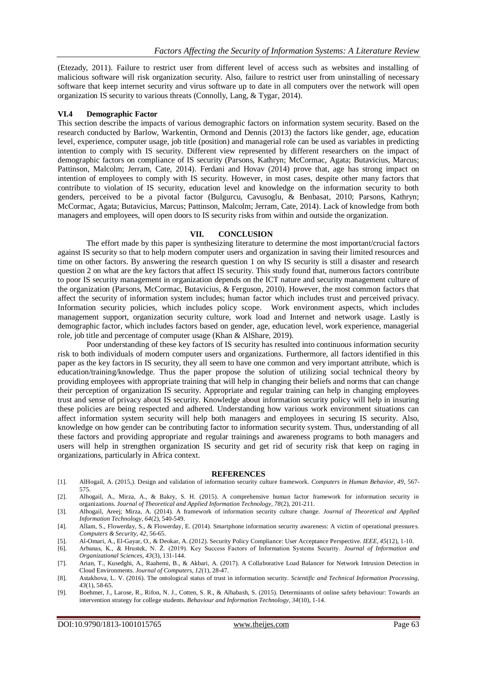(Etezady, 2011). Failure to restrict user from different level of access such as websites and installing of malicious software will risk organization security. Also, failure to restrict user from uninstalling of necessary software that keep internet security and virus software up to date in all computers over the network will open organization IS security to various threats (Connolly, Lang, & Tygar, 2014).

#### **VI.4 Demographic Factor**

This section describe the impacts of various demographic factors on information system security. Based on the research conducted by Barlow, Warkentin, Ormond and Dennis (2013) the factors like gender, age, education level, experience, computer usage, job title (position) and managerial role can be used as variables in predicting intention to comply with IS security. Different view represented by different researchers on the impact of demographic factors on compliance of IS security (Parsons, Kathryn; McCormac, Agata; Butavicius, Marcus; Pattinson, Malcolm; Jerram, Cate, 2014). Ferdani and Hovav (2014) prove that, age has strong impact on intention of employees to comply with IS security. However, in most cases, despite other many factors that contribute to violation of IS security, education level and knowledge on the information security to both genders, perceived to be a pivotal factor (Bulgurcu, Cavusoglu, & Benbasat, 2010; Parsons, Kathryn; McCormac, Agata; Butavicius, Marcus; Pattinson, Malcolm; Jerram, Cate, 2014). Lack of knowledge from both managers and employees, will open doors to IS security risks from within and outside the organization.

#### **VII. CONCLUSION**

The effort made by this paper is synthesizing literature to determine the most important/crucial factors against IS security so that to help modern computer users and organization in saving their limited resources and time on other factors. By answering the research question 1 on why IS security is still a disaster and research question 2 on what are the key factors that affect IS security. This study found that, numerous factors contribute to poor IS security management in organization depends on the ICT nature and security management culture of the organization (Parsons, McCormac, Butavicius, & Ferguson, 2010). However, the most common factors that affect the security of information system includes; human factor which includes trust and perceived privacy. Information security policies, which includes policy scope. Work environment aspects, which includes management support, organization security culture, work load and Internet and network usage. Lastly is demographic factor, which includes factors based on gender, age, education level, work experience, managerial role, job title and percentage of computer usage (Khan & AlShare, 2019).

Poor understanding of these key factors of IS security has resulted into continuous information security risk to both individuals of modern computer users and organizations. Furthermore, all factors identified in this paper as the key factors in IS security, they all seem to have one common and very important attribute, which is education/training/knowledge. Thus the paper propose the solution of utilizing social technical theory by providing employees with appropriate training that will help in changing their beliefs and norms that can change their perception of organization IS security. Appropriate and regular training can help in changing employees trust and sense of privacy about IS security. Knowledge about information security policy will help in insuring these policies are being respected and adhered. Understanding how various work environment situations can affect information system security will help both managers and employees in securing IS security. Also, knowledge on how gender can be contributing factor to information security system. Thus, understanding of all these factors and providing appropriate and regular trainings and awareness programs to both managers and users will help in strengthen organization IS security and get rid of security risk that keep on raging in organizations, particularly in Africa context.

#### **REFERENCES**

- [1]. AlHogail, A. (2015,). Design and validation of information security culture framework. *Computers in Human Behavior, 49*, 567- 575.
- [2]. Alhogail, A., Mirza, A., & Bakry, S. H. (2015). A comprehensive human factor framework for information security in organizations. *Journal of Theoretical and Applied Information Technology, 78*(2), 201-211.
- [3]. Alhogail, Areej; Mirza, A. (2014). A framework of information security culture change. *Journal of Theoretical and Applied Information Technology, 64*(2), 540-549.
- [4]. Allam, S., Flowerday, S., & Flowerday, E. (2014). Smartphone information security awareness: A victim of operational pressures. *Computers & Security, 42*, 56-65.
- [5]. Al-Omari, A., El-Gayar, O., & Deokar, A. (2012). Security Policy Compliance: User Acceptance Perspective. *IEEE, 45*(12), 1-10.
- [6]. Arbanas, K., & Hrustek, N. Ž. (2019). Key Success Factors of Information Systems Security. *Journal of Information and Organizational Sciences, 43*(3), 131-144.
- [7]. Arian, T., Kusedghi, A., Raahemi, B., & Akbari, A. (2017). A Collaborative Load Balancer for Network Intrusion Detection in Cloud Environments. *Journal of Computers, 12*(1), 28-47.
- [8]. Astakhova, L. V. (2016). The ontological status of trust in information security. *Scientific and Technical Information Processing, 43*(1), 58-65.
- [9]. Boehmer, J., Larose, R., Rifon, N. J., Cotten, S. R., & Alhabash, S. (2015). Determinants of online safety behaviour: Towards an intervention strategy for college students. *Behaviour and Information Technology, 34*(10), 1-14.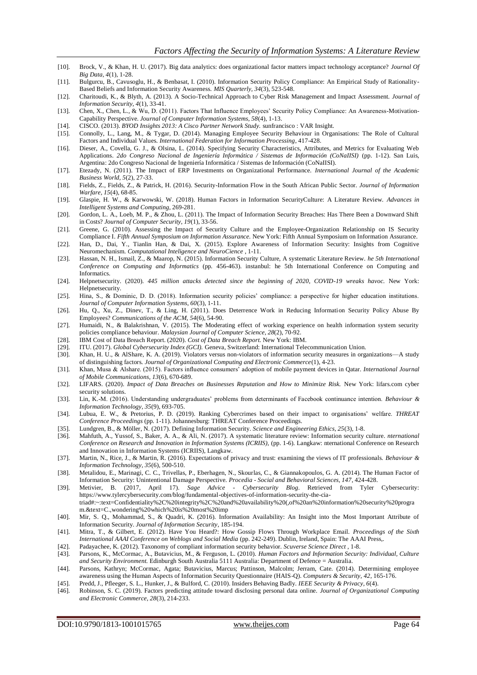- [10]. Brock, V., & Khan, H. U. (2017). Big data analytics: does organizational factor matters impact technology acceptance? *Journal Of Big Data, 4*(1), 1-28.
- [11]. Bulgurcu, B., Cavusoglu, H., & Benbasat, I. (2010). Information Security Policy Compliance: An Empirical Study of Rationality-Based Beliefs and Information Security Awareness. *MIS Quarterly, 34*(3), 523-548.
- [12]. Charitoudi, K., & Blyth, A. (2013). A Socio-Technical Approach to Cyber Risk Management and Impact Assessment. *Journal of Information Security, 4*(1), 33-41.
- [13]. Chen, X., Chen, L., & Wu, D. (2011). Factors That Influence Employees' Security Policy Compliance: An Awareness-Motivation-Capability Perspective. *Journal of Computer Information Systems, 58*(4), 1-13.
- [14]. CISCO. (2013). *BYOD Insights 2013: A Cisco Partner Network Study.* sunfrancisco : VAR Insight.
- [15]. Connolly, L., Lang, M., & Tygar, D. (2014). Managing Employee Security Behaviour in Organisations: The Role of Cultural Factors and Individual Values. *International Federation for Information Processing*, 417-428.
- [16]. Dieser, A., Covella, G. J., & Olsina, L. (2014). Specifying Security Characteristics, Attributes, and Metrics for Evaluating Web Applications. *2do Congreso Nacional de Ingeniería Informática / Sistemas de Información (CoNaIISI)* (pp. 1-12). San Luis, Argentina: 2do Congreso Nacional de Ingeniería Informática / Sistemas de Información (CoNaIISI).
- [17]. Etezady, N. (2011). The Impact of ERP Investments on Organizational Performance. *International Journal of the Academic Business World, 5*(2), 27-33.
- [18]. Fields, Z., Fields, Z., & Patrick, H. (2016). Security-Information Flow in the South African Public Sector. *Journal of Information Warfare, 15*(4), 68-85.
- [19]. Glaspie, H. W., & Karwowski, W. (2018). Human Factors in Information SecurityCulture: A Literature Review. *Advances in Intelligent Systems and Computing*, 269-281.
- [20]. Gordon, L. A., Loeb, M. P., & Zhou, L. (2011). The Impact of Information Security Breaches: Has There Been a Downward Shift in Costs? *Journal of Computer Security, 19*(1), 33-56.
- [21]. Greene, G. (2010). Assessing the Impact of Security Culture and the Employee-Organization Relationship on IS Security Compliance I. *Fifth Annual Symposium on Information Assurance.* New York: Fifth Annual Symposium on Information Assurance.
- [22]. Han, D., Dai, Y., Tianlin Han, & Dai, X. (2015). Explore Awareness of Information Security: Insights from Cognitive Neuromechanism. *Computational Inteligence and NeuroCience* , 1-11.
- [23]. Hassan, N. H., Ismail, Z., & Maarop, N. (2015). Information Security Culture, A systematic Literature Review. *he 5th International Conference on Computing and Informatics* (pp. 456-463). instanbul: he 5th International Conference on Computing and Informatics.
- [24]. Helpnetsecurity. (2020). *445 million attacks detected since the beginning of 2020, COVID-19 wreaks havoc.* New York: Helpnetsecurity.
- [25]. Hina, S., & Dominic, D. D. (2018). Information security policies' compliance: a perspective for higher education institutions. *Journal of Computer Information Systems, 60*(3), 1-11.
- [26]. Hu, Q., Xu, Z., Dinev, T., & Ling, H. (2011). Does Deterrence Work in Reducing Information Security Policy Abuse By Employees? *Communications of the ACM, 54*(6), 54-90.
- [27]. Humaidi, N., & Balakrishnan, V. (2015). The Moderating effect of working experience on health information system security policies compliance behaviour. *Malaysian Journal of Computer Science, 28*(2), 70-92.
- [28]. IBM Cost of Data Breach Report. (2020). *Cost of Data Breach Report.* New York: IBM.
- [29]. ITU. (2017). *Global Cybersecurity Index (GCI).* Geneva, Switzerland: International Telecommunication Union.
- [30]. Khan, H. U., & AlShare, K. A. (2019). Violators versus non-violators of information security measures in organizations—A study of distinguishing factors. *Journal of Organizational Computing and Electronic Commerce*(1), 4-23.
- [31]. Khan, Musa & Alshare. (2015). Factors influence consumers' adoption of mobile payment devices in Qatar. *International Journal of Mobile Communications, 13*(6), 670-689.
- [32]. LIFARS. (2020). *Impact of Data Breaches on Businesses Reputation and How to Minimize Risk.* New York: lifars.com cyber security solutions.
- [33]. Lin, K.-M. (2016). Understanding undergraduates' problems from determinants of Facebook continuance intention. *Behaviour & Information Technology, 35*(9), 693-705.
- [34]. Lubua, E. W., & Pretorius, P. D. (2019). Ranking Cybercrimes based on their impact to organisations' welfare. *THREAT Conference Proceedings* (pp. 1-11). Johannesburg: THREAT Conference Proceedings.
- [35]. Lundgren, B., & Möller, N. (2017). Defining Information Security. *Science and Engineering Ethics, 25*(3), 1-8.
- [36]. Mahfuth, A., Yussof, S., Baker, A. A., & Ali, N. (2017). A systematic literature review: Information security culture. *nternational Conference on Research and Innovation in Information Systems (ICRIIS),* (pp. 1-6). Langkaw: nternational Conference on Research and Innovation in Information Systems (ICRIIS), Langkaw.
- [37]. Martin, N., Rice, J., & Martin, R. (2016). Expectations of privacy and trust: examining the views of IT professionals. *Behaviour & Information Technology, 35*(6), 500-510.
- [38]. Metalidou, E., Marinagi, C. C., Trivellas, P., Eberhagen, N., Skourlas, C., & Giannakopoulos, G. A. (2014). The Human Factor of Information Security: Unintentional Damage Perspective. *Procedia - Social and Behavioral Sciences, 147*, 424-428.
- [39]. Metivier, B. (2017, April 17). *Sage Advice - Cybersecurity Blog*. Retrieved from Tyler Cybersecurity: https://www.tylercybersecurity.com/blog/fundamental-objectives-of-information-security-the-ciatriad#:~:text=Confidentiality%2C%20integrity%2C%20and%20availability%20(,of%20an%20information%20security%20progra
- m.&text=C.,wondering%20which%20is%20most%20imp [40]. Mir, S. Q., Mohammad, S., & Quadri, K. (2016). Information Availability: An Insight into the Most Important Attribute of Information Security. *Journal of Information Security*, 185-194.
- [41]. Mitra, T., & Gilbert, E. (2012). Have You Heard?: How Gossip Flows Through Workplace Email. *Proceedings of the Sixth International AAAI Conference on Weblogs and Social Media* (pp. 242-249). Dublin, Ireland, Spain: The AAAI Press,.
- [42]. Padayachee, K. (2012). Taxonomy of compliant information security behavior. *Scuverse Science Direct* , 1-8.
- [43]. Parsons, K., McCormac, A., Butavicius, M., & Ferguson, L. (2010). *Human Factors and Information Security: Individual, Culture and Security Environment.* Edinburgh South Australia 5111 Australia: Department of Defence = Australia.
- [44]. Parsons, Kathryn; McCormac, Agata; Butavicius, Marcus; Pattinson, Malcolm; Jerram, Cate. (2014). Determining employee awareness using the Human Aspects of Information Security Questionnaire (HAIS-Q). *Computers & Security, 42*, 165-176.
- [45]. Predd, J., Pfleeger, S. L., Hunker, J., & Bulford, C. (2010). Insiders Behaving Badly. *IEEE Security & Privacy, 6*(4).
- [46]. Robinson, S. C. (2019). Factors predicting attitude toward disclosing personal data online. *Journal of Organizational Computing and Electronic Commerce, 28*(3), 214-233.